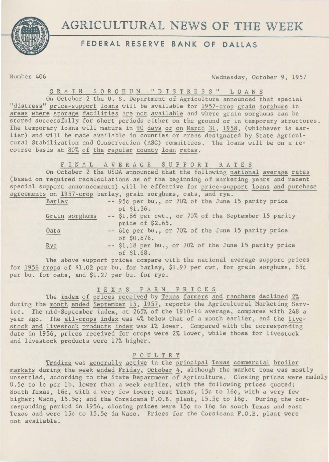

# **AGRICULTURAL** NEWS **OF THE** WEEK

## **FEDERAL RESERVE BANK OF DALLAS**

Number 406 Wednesday, October 9, 1957

GRAIN SORGHUM "DISTRESS" LOANS

On October 2 the U. s. Department of Agriculture announced that special "distress" price-support loans will be available for 1957-crop grain sorghums in areas where storage facilities are not available and where grain sorghums can be stored successfully for short periods either on the ground or in temporary structures. The temporary loans will mature in 90 days or on March 31, 1958, (whichever is earlier) and will be made available in counties or areas designated by State Agricultural Stabilization and Conservation (ASC) committees. The loans will be on a recourse basis at 80% of the regular county loan rates.

F IN AL AVERAGE S U P P 0 R T R A T E S

On October 2 the USDA announced that the following national average rates (based on required recalculations as of the beginning of marketing years and recent special support announcements) will be effective for price-support loans and purchase agreements on 1957-crop barley, grain sorghums, oats, and rye.

| Barley         | -- 95¢ per bu., or 70% of the June 15 parity price<br>of $$1.36.$         |
|----------------|---------------------------------------------------------------------------|
| Grain sorghums | -- \$1.86 per cwt., or 70% of the September 15 parity<br>price of \$2.65. |
| Oats           | -- 61¢ per bu., or 70% of the June 15 parity price<br>of \$0.876.         |
| Rye            | -- \$1.18 per bu., or 70% of the June 15 parity price<br>of \$1.68.       |

The above support prices compare with the national average support prices for 1956 crops of \$1.02 per bu. for barley, \$1.97 per cwt. for grain sorghums, 65¢ per bu. for oats, and \$1.27 per bu. for rye.

### T E X A S FARM PRICES

The index of prices received by Texas farmers and ranchers declined 2% during the month ended September 15, 1957, reports the Agricultural Marketing Service. The mid-September index, at 265% of the 1910-14 average, compares with 248 a year ago. The all-crops index was 4% below that of a month earlier, and the livestock and livestock products index was 1% lower. Compared with the corresponding date in 1956, prices received for crops were 2% lower, while those for livestock and livestock products were 17% higher.

#### P 0 U L T R Y

Trading was generally active in the principal Texas commercial broiler markets during the week ended Friday, October 4, although the market tone was mostly unsettled, according to the State Department of Agriculture. Closing prices were mainly 0.5¢ to 1¢ per lb. lower than a week earlier, with the following prices quoted: South Texas, 16¢, with a very few lower; east Texas, 15¢ to 16¢, with a very few higher; Waco, 15.5¢; and the Corsicana F.O.B. plant, 15.5¢ to 16¢. During the corresponding period in 1956, closing prices were 15¢ to 16¢ in south Texas and east Texas and were 15¢ to 15.5¢ in Waco. Prices for the Corsicana F.O.B. plant were not available.